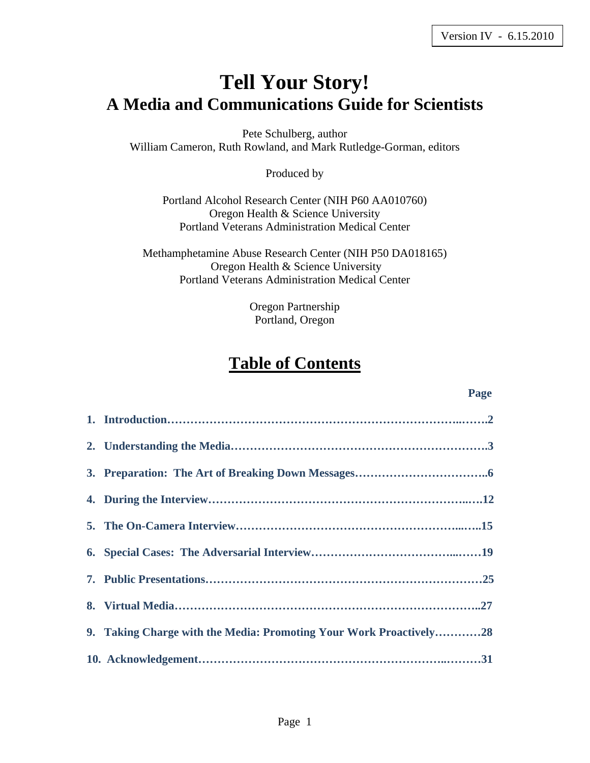# **Tell Your Story! A Media and Communications Guide for Scientists**

Pete Schulberg, author William Cameron, Ruth Rowland, and Mark Rutledge-Gorman, editors

Produced by

Portland Alcohol Research Center (NIH P60 AA010760) Oregon Health & Science University Portland Veterans Administration Medical Center

Methamphetamine Abuse Research Center (NIH P50 DA018165) Oregon Health & Science University Portland Veterans Administration Medical Center

> Oregon Partnership Portland, Oregon

## **Table of Contents**

#### **Page**  Page **Page**

| 9. Taking Charge with the Media: Promoting Your Work Proactively28 |
|--------------------------------------------------------------------|
|                                                                    |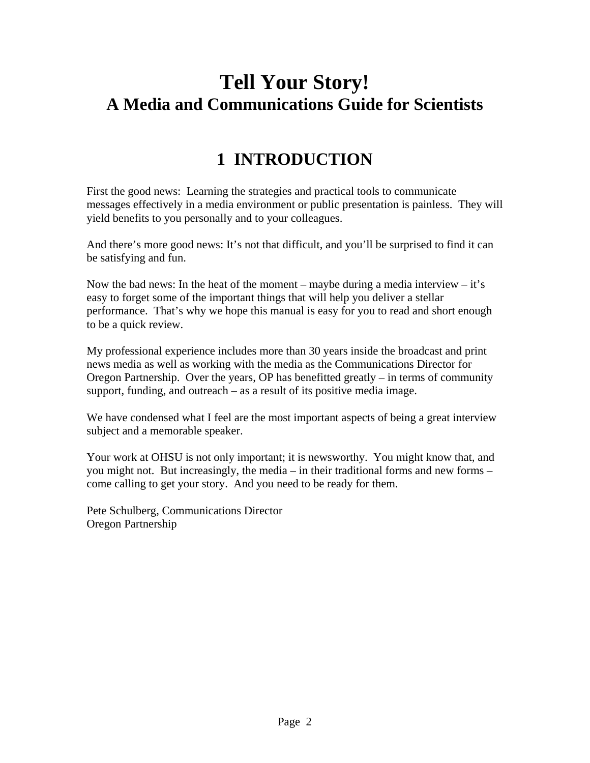# **Tell Your Story! A Media and Communications Guide for Scientists**

# **1 INTRODUCTION**

First the good news: Learning the strategies and practical tools to communicate messages effectively in a media environment or public presentation is painless. They will yield benefits to you personally and to your colleagues.

And there's more good news: It's not that difficult, and you'll be surprised to find it can be satisfying and fun.

Now the bad news: In the heat of the moment – maybe during a media interview – it's easy to forget some of the important things that will help you deliver a stellar performance. That's why we hope this manual is easy for you to read and short enough to be a quick review.

My professional experience includes more than 30 years inside the broadcast and print news media as well as working with the media as the Communications Director for Oregon Partnership. Over the years, OP has benefitted greatly – in terms of community support, funding, and outreach – as a result of its positive media image.

We have condensed what I feel are the most important aspects of being a great interview subject and a memorable speaker.

Your work at OHSU is not only important; it is newsworthy. You might know that, and you might not. But increasingly, the media – in their traditional forms and new forms – come calling to get your story. And you need to be ready for them.

Pete Schulberg, Communications Director Oregon Partnership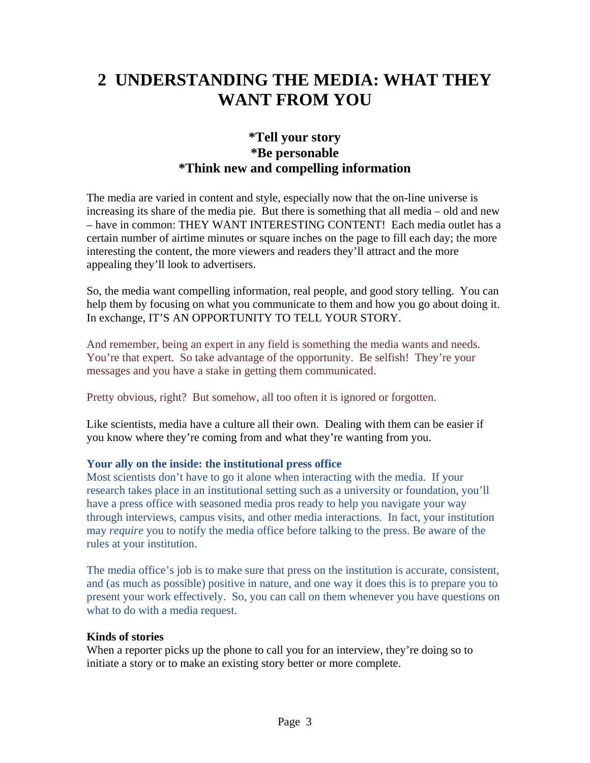# **2 UNDERSTANDING THE MEDIA: WHAT THEY WANT FROM YOU**

### **\*Tell your story \*Be personable \*Think new and compelling information**

The media are varied in content and style, especially now that the on-line universe is increasing its share of the media pie. But there is something that all media – old and new – have in common: THEY WANT INTERESTING CONTENT! Each media outlet has a certain number of airtime minutes or square inches on the page to fill each day; the more interesting the content, the more viewers and readers they'll attract and the more appealing they'll look to advertisers.

So, the media want compelling information, real people, and good story telling. You can help them by focusing on what you communicate to them and how you go about doing it. In exchange, IT'S AN OPPORTUNITY TO TELL YOUR STORY.

And remember, being an expert in any field is something the media wants and needs. You're that expert. So take advantage of the opportunity. Be selfish! They're your messages and you have a stake in getting them communicated.

Pretty obvious, right? But somehow, all too often it is ignored or forgotten.

Like scientists, media have a culture all their own. Dealing with them can be easier if you know where they're coming from and what they're wanting from you.

### **Your ally on the inside: the institutional press office**

Most scientists don't have to go it alone when interacting with the media. If your research takes place in an institutional setting such as a university or foundation, you'll have a press office with seasoned media pros ready to help you navigate your way through interviews, campus visits, and other media interactions. In fact, your institution may *require* you to notify the media office before talking to the press. Be aware of the rules at your institution.

The media office's job is to make sure that press on the institution is accurate, consistent, and (as much as possible) positive in nature, and one way it does this is to prepare you to present your work effectively. So, you can call on them whenever you have questions on what to do with a media request.

#### **Kinds of stories**

When a reporter picks up the phone to call you for an interview, they're doing so to initiate a story or to make an existing story better or more complete.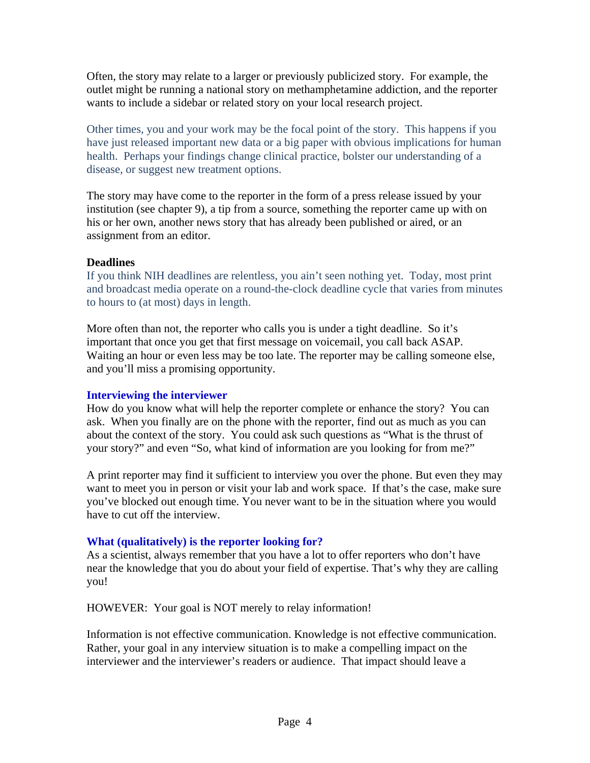Often, the story may relate to a larger or previously publicized story. For example, the outlet might be running a national story on methamphetamine addiction, and the reporter wants to include a sidebar or related story on your local research project.

Other times, you and your work may be the focal point of the story. This happens if you have just released important new data or a big paper with obvious implications for human health. Perhaps your findings change clinical practice, bolster our understanding of a disease, or suggest new treatment options.

The story may have come to the reporter in the form of a press release issued by your institution (see chapter 9), a tip from a source, something the reporter came up with on his or her own, another news story that has already been published or aired, or an assignment from an editor.

#### **Deadlines**

If you think NIH deadlines are relentless, you ain't seen nothing yet. Today, most print and broadcast media operate on a round-the-clock deadline cycle that varies from minutes to hours to (at most) days in length.

More often than not, the reporter who calls you is under a tight deadline. So it's important that once you get that first message on voicemail, you call back ASAP. Waiting an hour or even less may be too late. The reporter may be calling someone else, and you'll miss a promising opportunity.

#### **Interviewing the interviewer**

How do you know what will help the reporter complete or enhance the story? You can ask. When you finally are on the phone with the reporter, find out as much as you can about the context of the story. You could ask such questions as "What is the thrust of your story?" and even "So, what kind of information are you looking for from me?"

A print reporter may find it sufficient to interview you over the phone. But even they may want to meet you in person or visit your lab and work space. If that's the case, make sure you've blocked out enough time. You never want to be in the situation where you would have to cut off the interview.

#### **What (qualitatively) is the reporter looking for?**

As a scientist, always remember that you have a lot to offer reporters who don't have near the knowledge that you do about your field of expertise. That's why they are calling you!

HOWEVER: Your goal is NOT merely to relay information!

Information is not effective communication. Knowledge is not effective communication. Rather, your goal in any interview situation is to make a compelling impact on the interviewer and the interviewer's readers or audience. That impact should leave a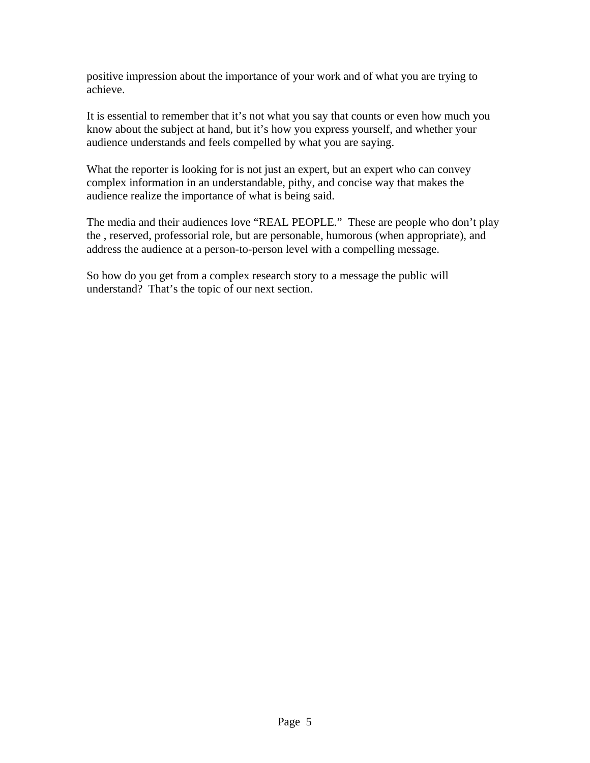positive impression about the importance of your work and of what you are trying to achieve.

It is essential to remember that it's not what you say that counts or even how much you know about the subject at hand, but it's how you express yourself, and whether your audience understands and feels compelled by what you are saying.

What the reporter is looking for is not just an expert, but an expert who can convey complex information in an understandable, pithy, and concise way that makes the audience realize the importance of what is being said.

The media and their audiences love "REAL PEOPLE." These are people who don't play the , reserved, professorial role, but are personable, humorous (when appropriate), and address the audience at a person-to-person level with a compelling message.

So how do you get from a complex research story to a message the public will understand? That's the topic of our next section.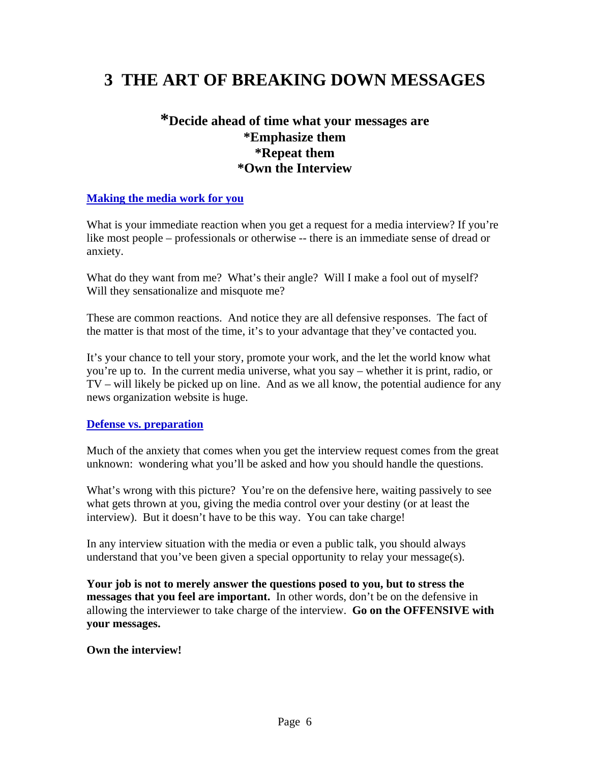## **3 THE ART OF BREAKING DOWN MESSAGES**

## **\*Decide ahead of time what your messages are \*Emphasize them \*Repeat them \*Own the Interview**

#### **Making the media work for you**

What is your immediate reaction when you get a request for a media interview? If you're like most people – professionals or otherwise -- there is an immediate sense of dread or anxiety.

What do they want from me? What's their angle? Will I make a fool out of myself? Will they sensationalize and misquote me?

These are common reactions. And notice they are all defensive responses. The fact of the matter is that most of the time, it's to your advantage that they've contacted you.

It's your chance to tell your story, promote your work, and the let the world know what you're up to. In the current media universe, what you say – whether it is print, radio, or TV – will likely be picked up on line. And as we all know, the potential audience for any news organization website is huge.

#### **Defense vs. preparation**

Much of the anxiety that comes when you get the interview request comes from the great unknown: wondering what you'll be asked and how you should handle the questions.

What's wrong with this picture? You're on the defensive here, waiting passively to see what gets thrown at you, giving the media control over your destiny (or at least the interview). But it doesn't have to be this way. You can take charge!

In any interview situation with the media or even a public talk, you should always understand that you've been given a special opportunity to relay your message(s).

**Your job is not to merely answer the questions posed to you, but to stress the messages that you feel are important.** In other words, don't be on the defensive in allowing the interviewer to take charge of the interview. **Go on the OFFENSIVE with your messages.** 

#### **Own the interview!**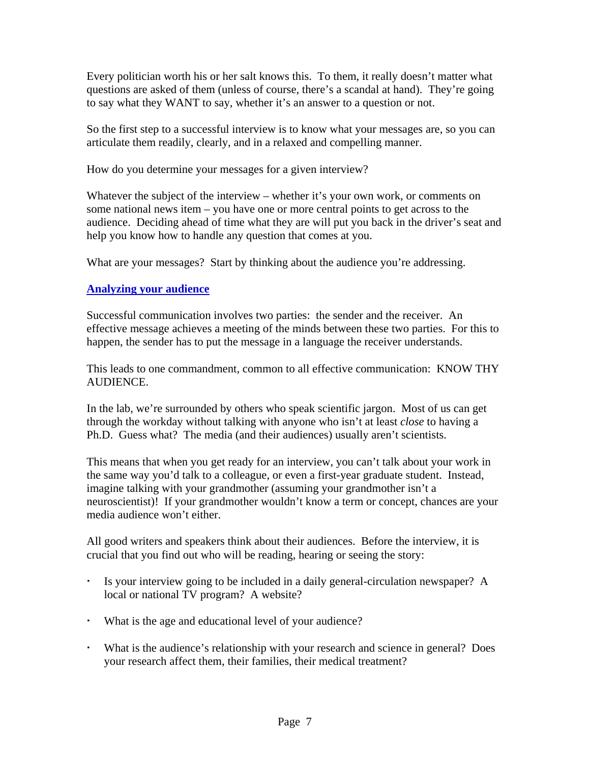Every politician worth his or her salt knows this. To them, it really doesn't matter what questions are asked of them (unless of course, there's a scandal at hand). They're going to say what they WANT to say, whether it's an answer to a question or not.

So the first step to a successful interview is to know what your messages are, so you can articulate them readily, clearly, and in a relaxed and compelling manner.

How do you determine your messages for a given interview?

Whatever the subject of the interview – whether it's your own work, or comments on some national news item – you have one or more central points to get across to the audience. Deciding ahead of time what they are will put you back in the driver's seat and help you know how to handle any question that comes at you.

What are your messages? Start by thinking about the audience you're addressing.

### **Analyzing your audience**

Successful communication involves two parties: the sender and the receiver. An effective message achieves a meeting of the minds between these two parties. For this to happen, the sender has to put the message in a language the receiver understands.

This leads to one commandment, common to all effective communication: KNOW THY AUDIENCE.

In the lab, we're surrounded by others who speak scientific jargon. Most of us can get through the workday without talking with anyone who isn't at least *close* to having a Ph.D. Guess what? The media (and their audiences) usually aren't scientists.

This means that when you get ready for an interview, you can't talk about your work in the same way you'd talk to a colleague, or even a first-year graduate student. Instead, imagine talking with your grandmother (assuming your grandmother isn't a neuroscientist)! If your grandmother wouldn't know a term or concept, chances are your media audience won't either.

All good writers and speakers think about their audiences. Before the interview, it is crucial that you find out who will be reading, hearing or seeing the story:

- Is your interview going to be included in a daily general-circulation newspaper? A local or national TV program? A website?
- What is the age and educational level of your audience?
- What is the audience's relationship with your research and science in general? Does your research affect them, their families, their medical treatment?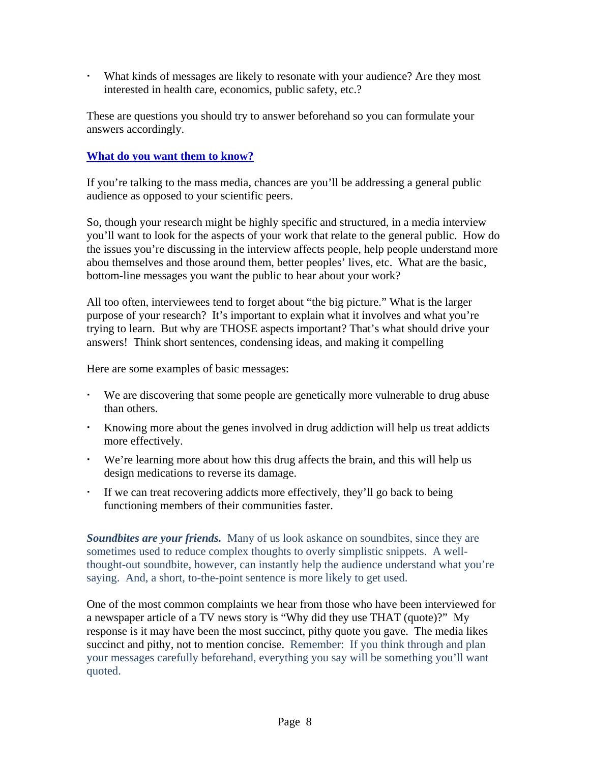What kinds of messages are likely to resonate with your audience? Are they most interested in health care, economics, public safety, etc.?

These are questions you should try to answer beforehand so you can formulate your answers accordingly.

#### **What do you want them to know?**

If you're talking to the mass media, chances are you'll be addressing a general public audience as opposed to your scientific peers.

So, though your research might be highly specific and structured, in a media interview you'll want to look for the aspects of your work that relate to the general public. How do the issues you're discussing in the interview affects people, help people understand more abou themselves and those around them, better peoples' lives, etc. What are the basic, bottom-line messages you want the public to hear about your work?

All too often, interviewees tend to forget about "the big picture." What is the larger purpose of your research? It's important to explain what it involves and what you're trying to learn. But why are THOSE aspects important? That's what should drive your answers! Think short sentences, condensing ideas, and making it compelling

Here are some examples of basic messages:

- We are discovering that some people are genetically more vulnerable to drug abuse than others.
- Knowing more about the genes involved in drug addiction will help us treat addicts more effectively.
- We're learning more about how this drug affects the brain, and this will help us design medications to reverse its damage.
- If we can treat recovering addicts more effectively, they'll go back to being functioning members of their communities faster.

**Soundbites are your friends.** Many of us look askance on soundbites, since they are sometimes used to reduce complex thoughts to overly simplistic snippets. A wellthought-out soundbite, however, can instantly help the audience understand what you're saying. And, a short, to-the-point sentence is more likely to get used.

One of the most common complaints we hear from those who have been interviewed for a newspaper article of a TV news story is "Why did they use THAT (quote)?" My response is it may have been the most succinct, pithy quote you gave. The media likes succinct and pithy, not to mention concise. Remember: If you think through and plan your messages carefully beforehand, everything you say will be something you'll want quoted.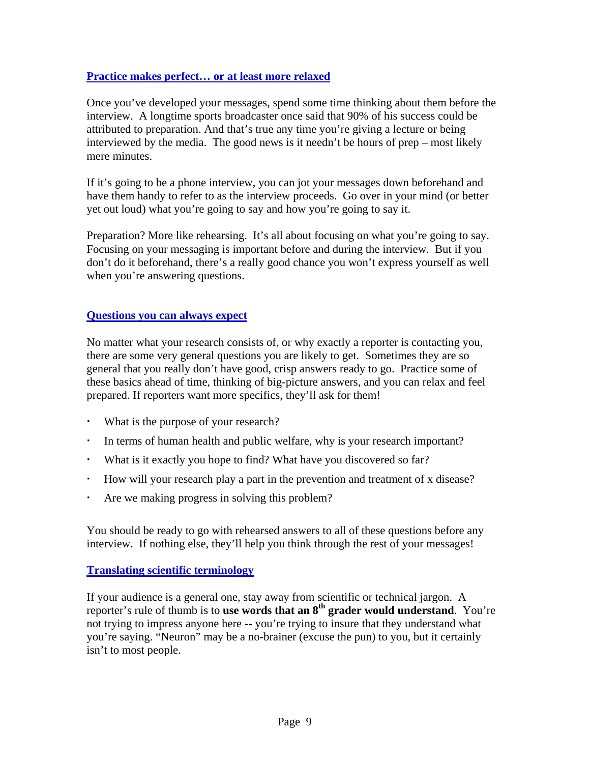#### **Practice makes perfect… or at least more relaxed**

Once you've developed your messages, spend some time thinking about them before the interview. A longtime sports broadcaster once said that 90% of his success could be attributed to preparation. And that's true any time you're giving a lecture or being interviewed by the media. The good news is it needn't be hours of prep – most likely mere minutes.

If it's going to be a phone interview, you can jot your messages down beforehand and have them handy to refer to as the interview proceeds. Go over in your mind (or better yet out loud) what you're going to say and how you're going to say it.

Preparation? More like rehearsing. It's all about focusing on what you're going to say. Focusing on your messaging is important before and during the interview. But if you don't do it beforehand, there's a really good chance you won't express yourself as well when you're answering questions.

#### **Questions you can always expect**

No matter what your research consists of, or why exactly a reporter is contacting you, there are some very general questions you are likely to get. Sometimes they are so general that you really don't have good, crisp answers ready to go. Practice some of these basics ahead of time, thinking of big-picture answers, and you can relax and feel prepared. If reporters want more specifics, they'll ask for them!

- What is the purpose of your research?
- In terms of human health and public welfare, why is your research important?
- What is it exactly you hope to find? What have you discovered so far?
- How will your research play a part in the prevention and treatment of x disease?
- Are we making progress in solving this problem?

You should be ready to go with rehearsed answers to all of these questions before any interview. If nothing else, they'll help you think through the rest of your messages!

#### **Translating scientific terminology**

If your audience is a general one, stay away from scientific or technical jargon. A reporter's rule of thumb is to **use words that an 8th grader would understand**. You're not trying to impress anyone here -- you're trying to insure that they understand what you're saying. "Neuron" may be a no-brainer (excuse the pun) to you, but it certainly isn't to most people.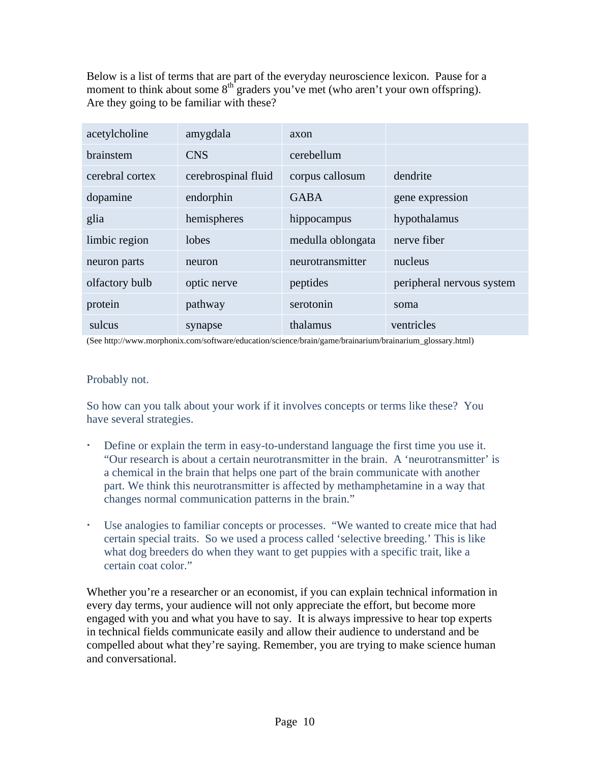Below is a list of terms that are part of the everyday neuroscience lexicon. Pause for a moment to think about some  $8<sup>th</sup>$  graders you've met (who aren't your own offspring). Are they going to be familiar with these?

| acetylcholine   | amygdala            | axon              |                           |
|-----------------|---------------------|-------------------|---------------------------|
| brainstem       | <b>CNS</b>          | cerebellum        |                           |
| cerebral cortex | cerebrospinal fluid | corpus callosum   | dendrite                  |
| dopamine        | endorphin           | <b>GABA</b>       | gene expression           |
| glia            | hemispheres         | hippocampus       | hypothalamus              |
| limbic region   | lobes               | medulla oblongata | nerve fiber               |
| neuron parts    | neuron              | neurotransmitter  | nucleus                   |
| olfactory bulb  | optic nerve         | peptides          | peripheral nervous system |
| protein         | pathway             | serotonin         | soma                      |
| sulcus          | synapse             | thalamus          | ventricles                |

(See http://www.morphonix.com/software/education/science/brain/game/brainarium/brainarium\_glossary.html)

#### Probably not.

So how can you talk about your work if it involves concepts or terms like these? You have several strategies.

- Define or explain the term in easy-to-understand language the first time you use it. "Our research is about a certain neurotransmitter in the brain. A 'neurotransmitter' is a chemical in the brain that helps one part of the brain communicate with another part. We think this neurotransmitter is affected by methamphetamine in a way that changes normal communication patterns in the brain."
- Use analogies to familiar concepts or processes. "We wanted to create mice that had certain special traits. So we used a process called 'selective breeding.' This is like what dog breeders do when they want to get puppies with a specific trait, like a certain coat color."

Whether you're a researcher or an economist, if you can explain technical information in every day terms, your audience will not only appreciate the effort, but become more engaged with you and what you have to say. It is always impressive to hear top experts in technical fields communicate easily and allow their audience to understand and be compelled about what they're saying. Remember, you are trying to make science human and conversational.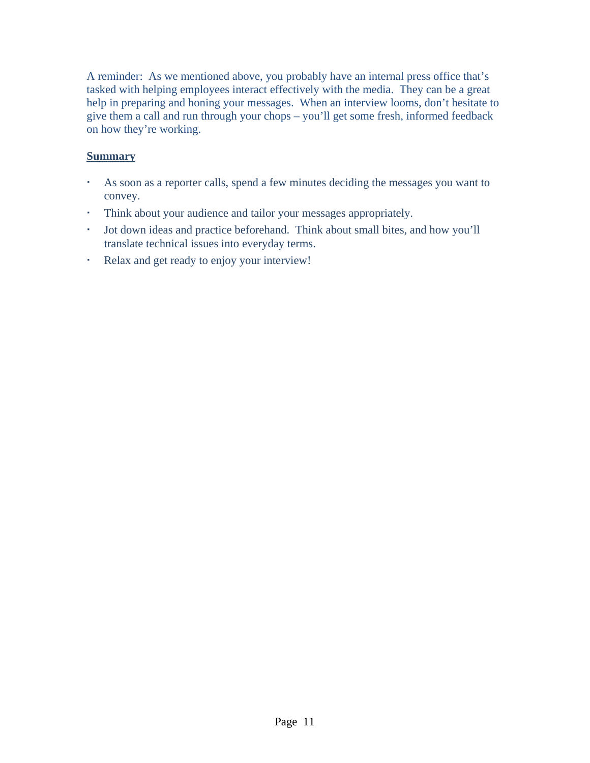A reminder: As we mentioned above, you probably have an internal press office that's tasked with helping employees interact effectively with the media. They can be a great help in preparing and honing your messages. When an interview looms, don't hesitate to give them a call and run through your chops – you'll get some fresh, informed feedback on how they're working.

#### **Summary**

- As soon as a reporter calls, spend a few minutes deciding the messages you want to convey.
- Think about your audience and tailor your messages appropriately.
- Jot down ideas and practice beforehand. Think about small bites, and how you'll translate technical issues into everyday terms.
- Relax and get ready to enjoy your interview!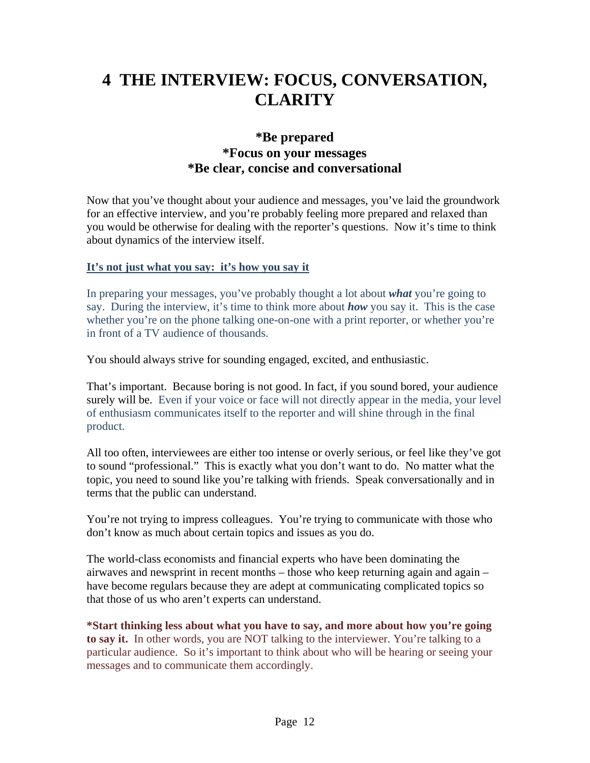# **4 THE INTERVIEW: FOCUS, CONVERSATION, CLARITY**

### **\*Be prepared \*Focus on your messages \*Be clear, concise and conversational**

Now that you've thought about your audience and messages, you've laid the groundwork for an effective interview, and you're probably feeling more prepared and relaxed than you would be otherwise for dealing with the reporter's questions. Now it's time to think about dynamics of the interview itself.

#### **It's not just what you say: it's how you say it**

In preparing your messages, you've probably thought a lot about *what* you're going to say. During the interview, it's time to think more about *how* you say it. This is the case whether you're on the phone talking one-on-one with a print reporter, or whether you're in front of a TV audience of thousands.

You should always strive for sounding engaged, excited, and enthusiastic.

That's important. Because boring is not good. In fact, if you sound bored, your audience surely will be. Even if your voice or face will not directly appear in the media, your level of enthusiasm communicates itself to the reporter and will shine through in the final product.

All too often, interviewees are either too intense or overly serious, or feel like they've got to sound "professional." This is exactly what you don't want to do. No matter what the topic, you need to sound like you're talking with friends. Speak conversationally and in terms that the public can understand.

You're not trying to impress colleagues. You're trying to communicate with those who don't know as much about certain topics and issues as you do.

The world-class economists and financial experts who have been dominating the airwaves and newsprint in recent months – those who keep returning again and again – have become regulars because they are adept at communicating complicated topics so that those of us who aren't experts can understand.

**\*Start thinking less about what you have to say, and more about how you're going to say it.** In other words, you are NOT talking to the interviewer. You're talking to a particular audience. So it's important to think about who will be hearing or seeing your messages and to communicate them accordingly.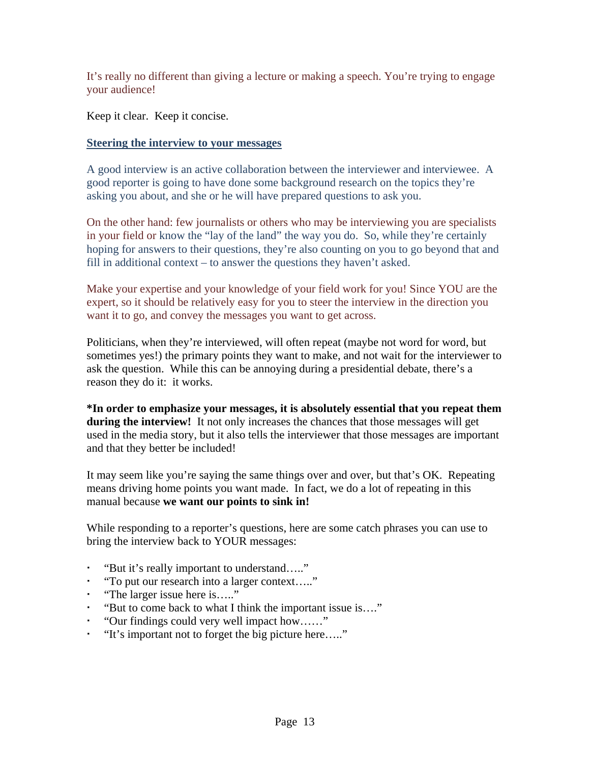It's really no different than giving a lecture or making a speech. You're trying to engage your audience!

Keep it clear. Keep it concise.

#### **Steering the interview to your messages**

A good interview is an active collaboration between the interviewer and interviewee. A good reporter is going to have done some background research on the topics they're asking you about, and she or he will have prepared questions to ask you.

On the other hand: few journalists or others who may be interviewing you are specialists in your field or know the "lay of the land" the way you do. So, while they're certainly hoping for answers to their questions, they're also counting on you to go beyond that and fill in additional context – to answer the questions they haven't asked.

Make your expertise and your knowledge of your field work for you! Since YOU are the expert, so it should be relatively easy for you to steer the interview in the direction you want it to go, and convey the messages you want to get across.

Politicians, when they're interviewed, will often repeat (maybe not word for word, but sometimes yes!) the primary points they want to make, and not wait for the interviewer to ask the question. While this can be annoying during a presidential debate, there's a reason they do it: it works.

**\*In order to emphasize your messages, it is absolutely essential that you repeat them during the interview!** It not only increases the chances that those messages will get used in the media story, but it also tells the interviewer that those messages are important and that they better be included!

It may seem like you're saying the same things over and over, but that's OK. Repeating means driving home points you want made. In fact, we do a lot of repeating in this manual because **we want our points to sink in!** 

While responding to a reporter's questions, here are some catch phrases you can use to bring the interview back to YOUR messages:

- "But it's really important to understand….."
- "To put our research into a larger context….."
- "The larger issue here is….."
- "But to come back to what I think the important issue is…."
- "Our findings could very well impact how……"
- "It's important not to forget the big picture here….."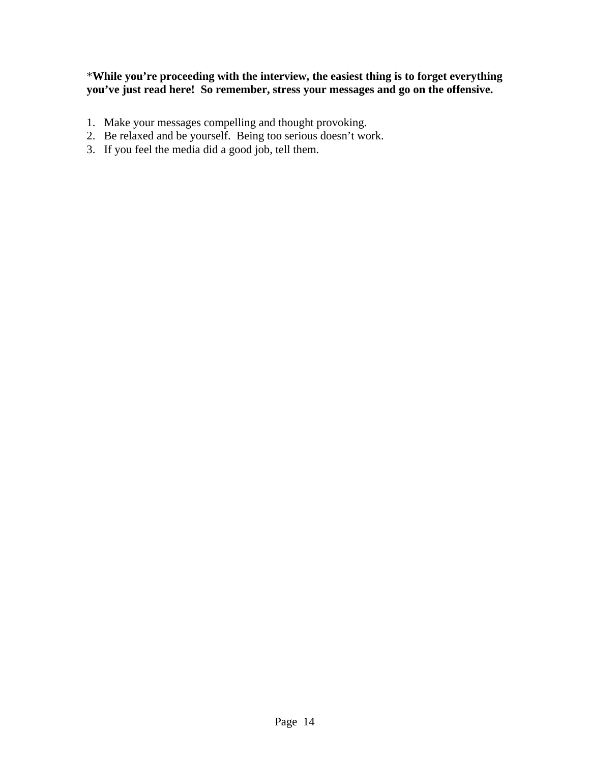#### \***While you're proceeding with the interview, the easiest thing is to forget everything you've just read here! So remember, stress your messages and go on the offensive.**

- 1. Make your messages compelling and thought provoking.
- 2. Be relaxed and be yourself. Being too serious doesn't work.
- 3. If you feel the media did a good job, tell them.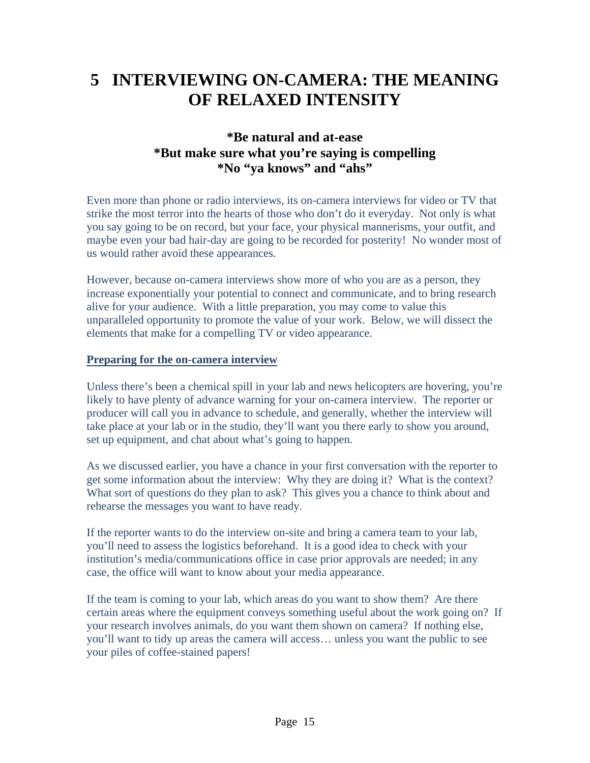# **5 INTERVIEWING ON-CAMERA: THE MEANING OF RELAXED INTENSITY**

## **\*Be natural and at-ease \*But make sure what you're saying is compelling \*No "ya knows" and "ahs"**

Even more than phone or radio interviews, its on-camera interviews for video or TV that strike the most terror into the hearts of those who don't do it everyday. Not only is what you say going to be on record, but your face, your physical mannerisms, your outfit, and maybe even your bad hair-day are going to be recorded for posterity! No wonder most of us would rather avoid these appearances.

However, because on-camera interviews show more of who you are as a person, they increase exponentially your potential to connect and communicate, and to bring research alive for your audience. With a little preparation, you may come to value this unparalleled opportunity to promote the value of your work. Below, we will dissect the elements that make for a compelling TV or video appearance.

#### **Preparing for the on-camera interview**

Unless there's been a chemical spill in your lab and news helicopters are hovering, you're likely to have plenty of advance warning for your on-camera interview. The reporter or producer will call you in advance to schedule, and generally, whether the interview will take place at your lab or in the studio, they'll want you there early to show you around, set up equipment, and chat about what's going to happen.

As we discussed earlier, you have a chance in your first conversation with the reporter to get some information about the interview: Why they are doing it? What is the context? What sort of questions do they plan to ask? This gives you a chance to think about and rehearse the messages you want to have ready.

If the reporter wants to do the interview on-site and bring a camera team to your lab, you'll need to assess the logistics beforehand. It is a good idea to check with your institution's media/communications office in case prior approvals are needed; in any case, the office will want to know about your media appearance.

If the team is coming to your lab, which areas do you want to show them? Are there certain areas where the equipment conveys something useful about the work going on? If your research involves animals, do you want them shown on camera? If nothing else, you'll want to tidy up areas the camera will access… unless you want the public to see your piles of coffee-stained papers!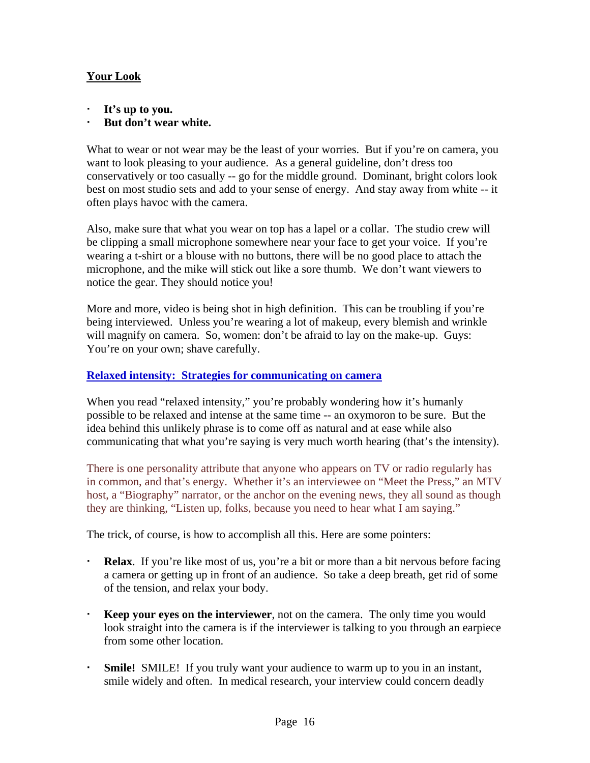### **Your Look**

- **It's up to you.**
- **But don't wear white.**

What to wear or not wear may be the least of your worries. But if you're on camera, you want to look pleasing to your audience. As a general guideline, don't dress too conservatively or too casually -- go for the middle ground. Dominant, bright colors look best on most studio sets and add to your sense of energy. And stay away from white -- it often plays havoc with the camera.

Also, make sure that what you wear on top has a lapel or a collar. The studio crew will be clipping a small microphone somewhere near your face to get your voice. If you're wearing a t-shirt or a blouse with no buttons, there will be no good place to attach the microphone, and the mike will stick out like a sore thumb. We don't want viewers to notice the gear. They should notice you!

More and more, video is being shot in high definition. This can be troubling if you're being interviewed. Unless you're wearing a lot of makeup, every blemish and wrinkle will magnify on camera. So, women: don't be afraid to lay on the make-up. Guys: You're on your own; shave carefully.

#### **Relaxed intensity: Strategies for communicating on camera**

When you read "relaxed intensity," you're probably wondering how it's humanly possible to be relaxed and intense at the same time -- an oxymoron to be sure. But the idea behind this unlikely phrase is to come off as natural and at ease while also communicating that what you're saying is very much worth hearing (that's the intensity).

There is one personality attribute that anyone who appears on TV or radio regularly has in common, and that's energy. Whether it's an interviewee on "Meet the Press," an MTV host, a "Biography" narrator, or the anchor on the evening news, they all sound as though they are thinking, "Listen up, folks, because you need to hear what I am saying."

The trick, of course, is how to accomplish all this. Here are some pointers:

- **Relax**. If you're like most of us, you're a bit or more than a bit nervous before facing a camera or getting up in front of an audience. So take a deep breath, get rid of some of the tension, and relax your body.
- **Keep your eyes on the interviewer**, not on the camera. The only time you would look straight into the camera is if the interviewer is talking to you through an earpiece from some other location.
- **Smile!** SMILE! If you truly want your audience to warm up to you in an instant, smile widely and often. In medical research, your interview could concern deadly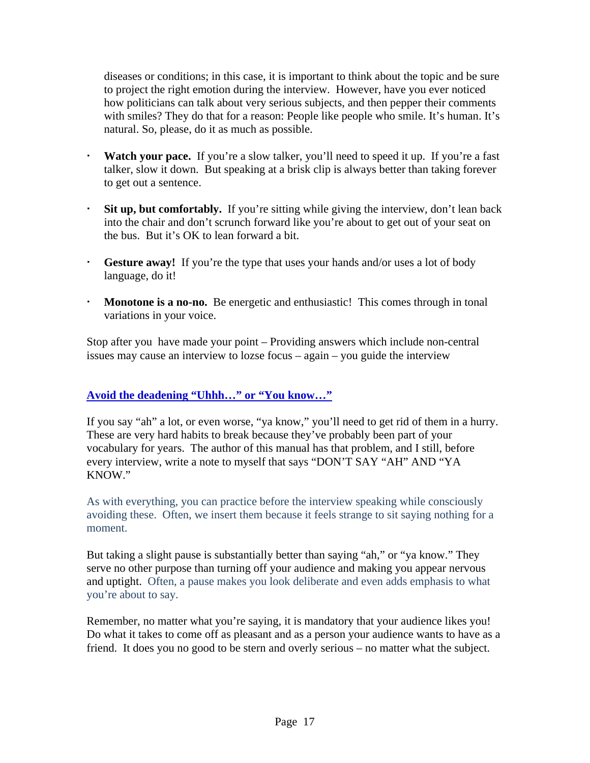diseases or conditions; in this case, it is important to think about the topic and be sure to project the right emotion during the interview. However, have you ever noticed how politicians can talk about very serious subjects, and then pepper their comments with smiles? They do that for a reason: People like people who smile. It's human. It's natural. So, please, do it as much as possible.

- **Watch your pace.** If you're a slow talker, you'll need to speed it up. If you're a fast talker, slow it down. But speaking at a brisk clip is always better than taking forever to get out a sentence.
- **Sit up, but comfortably.** If you're sitting while giving the interview, don't lean back into the chair and don't scrunch forward like you're about to get out of your seat on the bus. But it's OK to lean forward a bit.
- **Gesture away!** If you're the type that uses your hands and/or uses a lot of body language, do it!
- **Monotone is a no-no.** Be energetic and enthusiastic! This comes through in tonal variations in your voice.

Stop after you have made your point – Providing answers which include non-central issues may cause an interview to lozse focus – again – you guide the interview

#### **Avoid the deadening "Uhhh…" or "You know…"**

If you say "ah" a lot, or even worse, "ya know," you'll need to get rid of them in a hurry. These are very hard habits to break because they've probably been part of your vocabulary for years. The author of this manual has that problem, and I still, before every interview, write a note to myself that says "DON'T SAY "AH" AND "YA KNOW."

As with everything, you can practice before the interview speaking while consciously avoiding these. Often, we insert them because it feels strange to sit saying nothing for a moment.

But taking a slight pause is substantially better than saying "ah," or "ya know." They serve no other purpose than turning off your audience and making you appear nervous and uptight. Often, a pause makes you look deliberate and even adds emphasis to what you're about to say.

Remember, no matter what you're saying, it is mandatory that your audience likes you! Do what it takes to come off as pleasant and as a person your audience wants to have as a friend. It does you no good to be stern and overly serious – no matter what the subject.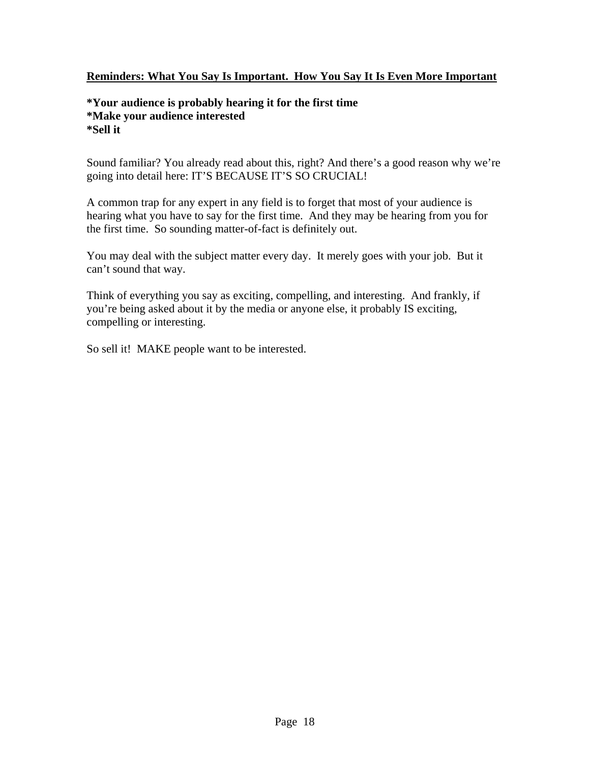#### **Reminders: What You Say Is Important. How You Say It Is Even More Important**

#### **\*Your audience is probably hearing it for the first time \*Make your audience interested \*Sell it**

Sound familiar? You already read about this, right? And there's a good reason why we're going into detail here: IT'S BECAUSE IT'S SO CRUCIAL!

A common trap for any expert in any field is to forget that most of your audience is hearing what you have to say for the first time. And they may be hearing from you for the first time. So sounding matter-of-fact is definitely out.

You may deal with the subject matter every day. It merely goes with your job. But it can't sound that way.

Think of everything you say as exciting, compelling, and interesting. And frankly, if you're being asked about it by the media or anyone else, it probably IS exciting, compelling or interesting.

So sell it! MAKE people want to be interested.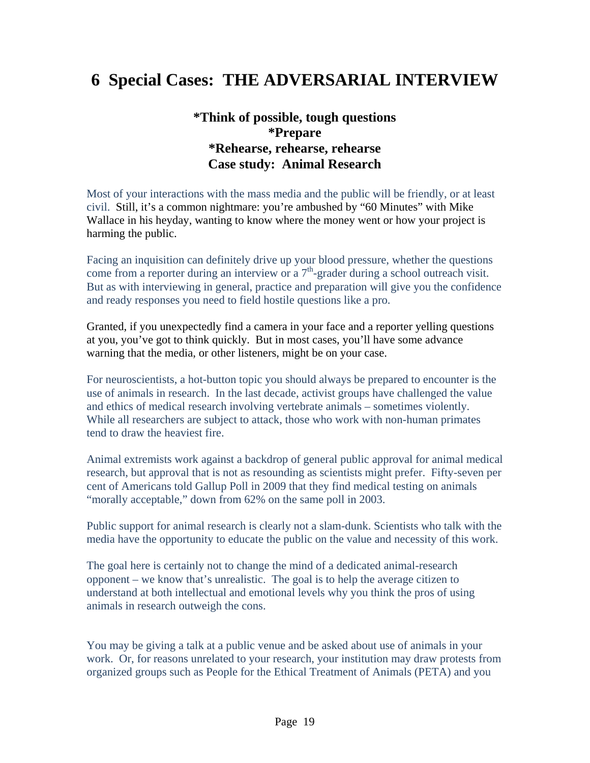# **6 Special Cases: THE ADVERSARIAL INTERVIEW**

### **\*Think of possible, tough questions \*Prepare \*Rehearse, rehearse, rehearse Case study: Animal Research**

Most of your interactions with the mass media and the public will be friendly, or at least civil. Still, it's a common nightmare: you're ambushed by "60 Minutes" with Mike Wallace in his heyday, wanting to know where the money went or how your project is harming the public.

Facing an inquisition can definitely drive up your blood pressure, whether the questions come from a reporter during an interview or a  $7<sup>th</sup>$ -grader during a school outreach visit. But as with interviewing in general, practice and preparation will give you the confidence and ready responses you need to field hostile questions like a pro.

Granted, if you unexpectedly find a camera in your face and a reporter yelling questions at you, you've got to think quickly. But in most cases, you'll have some advance warning that the media, or other listeners, might be on your case.

For neuroscientists, a hot-button topic you should always be prepared to encounter is the use of animals in research. In the last decade, activist groups have challenged the value and ethics of medical research involving vertebrate animals – sometimes violently. While all researchers are subject to attack, those who work with non-human primates tend to draw the heaviest fire.

Animal extremists work against a backdrop of general public approval for animal medical research, but approval that is not as resounding as scientists might prefer. Fifty-seven per cent of Americans told Gallup Poll in 2009 that they find medical testing on animals "morally acceptable," down from 62% on the same poll in 2003.

Public support for animal research is clearly not a slam-dunk. Scientists who talk with the media have the opportunity to educate the public on the value and necessity of this work.

The goal here is certainly not to change the mind of a dedicated animal-research opponent – we know that's unrealistic. The goal is to help the average citizen to understand at both intellectual and emotional levels why you think the pros of using animals in research outweigh the cons.

You may be giving a talk at a public venue and be asked about use of animals in your work. Or, for reasons unrelated to your research, your institution may draw protests from organized groups such as People for the Ethical Treatment of Animals (PETA) and you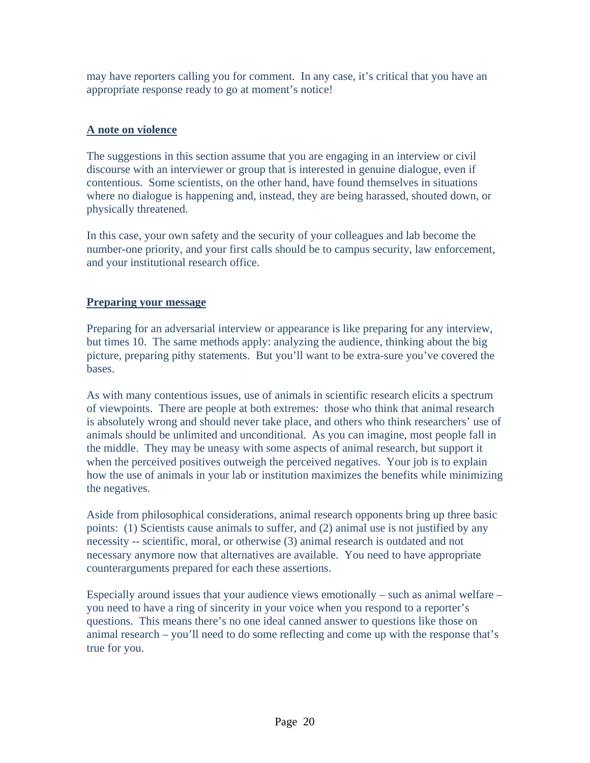may have reporters calling you for comment. In any case, it's critical that you have an appropriate response ready to go at moment's notice!

### **A note on violence**

The suggestions in this section assume that you are engaging in an interview or civil discourse with an interviewer or group that is interested in genuine dialogue, even if contentious. Some scientists, on the other hand, have found themselves in situations where no dialogue is happening and, instead, they are being harassed, shouted down, or physically threatened.

In this case, your own safety and the security of your colleagues and lab become the number-one priority, and your first calls should be to campus security, law enforcement, and your institutional research office.

#### **Preparing your message**

Preparing for an adversarial interview or appearance is like preparing for any interview, but times 10. The same methods apply: analyzing the audience, thinking about the big picture, preparing pithy statements. But you'll want to be extra-sure you've covered the bases.

As with many contentious issues, use of animals in scientific research elicits a spectrum of viewpoints. There are people at both extremes: those who think that animal research is absolutely wrong and should never take place, and others who think researchers' use of animals should be unlimited and unconditional. As you can imagine, most people fall in the middle. They may be uneasy with some aspects of animal research, but support it when the perceived positives outweigh the perceived negatives. Your job is to explain how the use of animals in your lab or institution maximizes the benefits while minimizing the negatives.

Aside from philosophical considerations, animal research opponents bring up three basic points: (1) Scientists cause animals to suffer, and (2) animal use is not justified by any necessity -- scientific, moral, or otherwise (3) animal research is outdated and not necessary anymore now that alternatives are available. You need to have appropriate counterarguments prepared for each these assertions.

Especially around issues that your audience views emotionally – such as animal welfare – you need to have a ring of sincerity in your voice when you respond to a reporter's questions. This means there's no one ideal canned answer to questions like those on animal research – you'll need to do some reflecting and come up with the response that's true for you.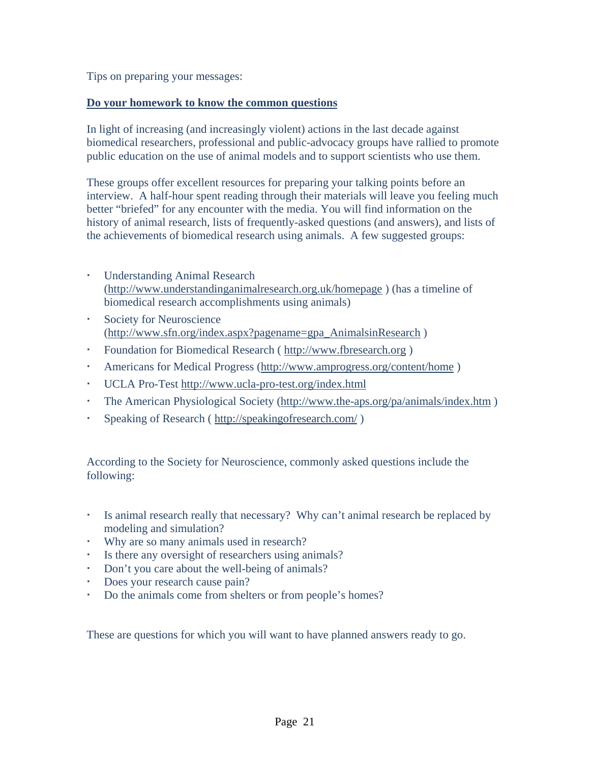Tips on preparing your messages:

#### **Do your homework to know the common questions**

In light of increasing (and increasingly violent) actions in the last decade against biomedical researchers, professional and public-advocacy groups have rallied to promote public education on the use of animal models and to support scientists who use them.

These groups offer excellent resources for preparing your talking points before an interview. A half-hour spent reading through their materials will leave you feeling much better "briefed" for any encounter with the media. You will find information on the history of animal research, lists of frequently-asked questions (and answers), and lists of the achievements of biomedical research using animals. A few suggested groups:

- Understanding Animal Research (http://www.understandinganimalresearch.org.uk/homepage ) (has a timeline of biomedical research accomplishments using animals)
- Society for Neuroscience (http://www.sfn.org/index.aspx?pagename=gpa\_AnimalsinResearch )
- Foundation for Biomedical Research ( http://www.fbresearch.org )
- Americans for Medical Progress (http://www.amprogress.org/content/home )
- UCLA Pro-Test http://www.ucla-pro-test.org/index.html
- The American Physiological Society (http://www.the-aps.org/pa/animals/index.htm)
- Speaking of Research ( http://speakingofresearch.com/ )

According to the Society for Neuroscience, commonly asked questions include the following:

- Is animal research really that necessary? Why can't animal research be replaced by modeling and simulation?
- Why are so many animals used in research?
- Is there any oversight of researchers using animals?
- Don't you care about the well-being of animals?
- Does your research cause pain?
- Do the animals come from shelters or from people's homes?

These are questions for which you will want to have planned answers ready to go.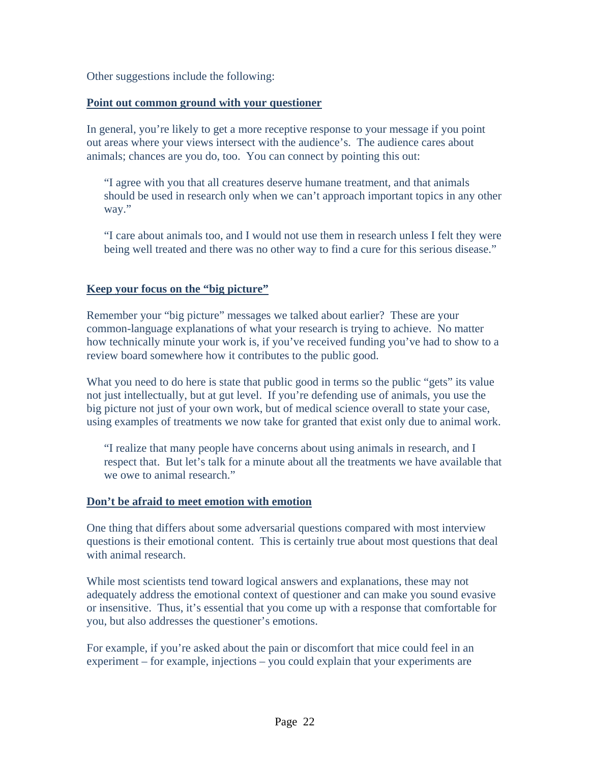Other suggestions include the following:

#### **Point out common ground with your questioner**

In general, you're likely to get a more receptive response to your message if you point out areas where your views intersect with the audience's. The audience cares about animals; chances are you do, too. You can connect by pointing this out:

"I agree with you that all creatures deserve humane treatment, and that animals should be used in research only when we can't approach important topics in any other way."

"I care about animals too, and I would not use them in research unless I felt they were being well treated and there was no other way to find a cure for this serious disease."

#### **Keep your focus on the "big picture"**

Remember your "big picture" messages we talked about earlier? These are your common-language explanations of what your research is trying to achieve. No matter how technically minute your work is, if you've received funding you've had to show to a review board somewhere how it contributes to the public good.

What you need to do here is state that public good in terms so the public "gets" its value not just intellectually, but at gut level. If you're defending use of animals, you use the big picture not just of your own work, but of medical science overall to state your case, using examples of treatments we now take for granted that exist only due to animal work.

"I realize that many people have concerns about using animals in research, and I respect that. But let's talk for a minute about all the treatments we have available that we owe to animal research."

#### **Don't be afraid to meet emotion with emotion**

One thing that differs about some adversarial questions compared with most interview questions is their emotional content. This is certainly true about most questions that deal with animal research.

While most scientists tend toward logical answers and explanations, these may not adequately address the emotional context of questioner and can make you sound evasive or insensitive. Thus, it's essential that you come up with a response that comfortable for you, but also addresses the questioner's emotions.

For example, if you're asked about the pain or discomfort that mice could feel in an experiment – for example, injections – you could explain that your experiments are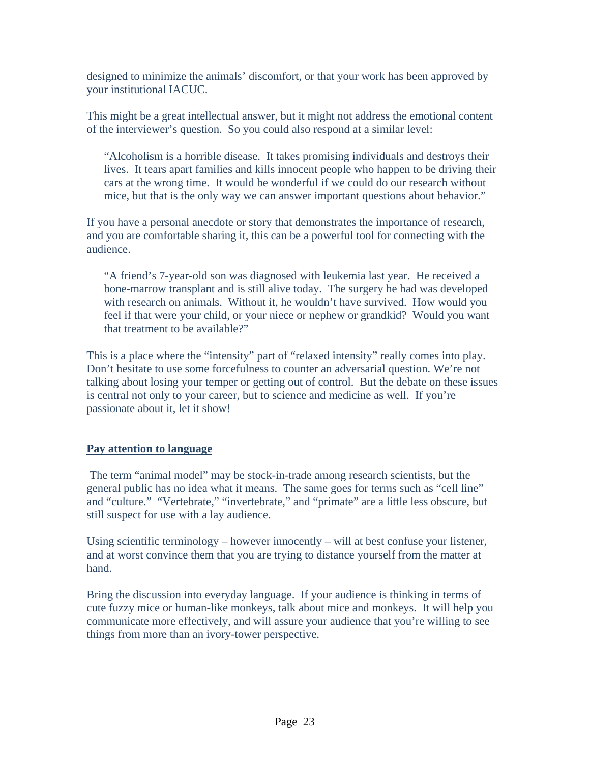designed to minimize the animals' discomfort, or that your work has been approved by your institutional IACUC.

This might be a great intellectual answer, but it might not address the emotional content of the interviewer's question. So you could also respond at a similar level:

"Alcoholism is a horrible disease. It takes promising individuals and destroys their lives. It tears apart families and kills innocent people who happen to be driving their cars at the wrong time. It would be wonderful if we could do our research without mice, but that is the only way we can answer important questions about behavior."

If you have a personal anecdote or story that demonstrates the importance of research, and you are comfortable sharing it, this can be a powerful tool for connecting with the audience.

"A friend's 7-year-old son was diagnosed with leukemia last year. He received a bone-marrow transplant and is still alive today. The surgery he had was developed with research on animals. Without it, he wouldn't have survived. How would you feel if that were your child, or your niece or nephew or grandkid? Would you want that treatment to be available?"

This is a place where the "intensity" part of "relaxed intensity" really comes into play. Don't hesitate to use some forcefulness to counter an adversarial question. We're not talking about losing your temper or getting out of control. But the debate on these issues is central not only to your career, but to science and medicine as well. If you're passionate about it, let it show!

#### **Pay attention to language**

 The term "animal model" may be stock-in-trade among research scientists, but the general public has no idea what it means. The same goes for terms such as "cell line" and "culture." "Vertebrate," "invertebrate," and "primate" are a little less obscure, but still suspect for use with a lay audience.

Using scientific terminology – however innocently – will at best confuse your listener, and at worst convince them that you are trying to distance yourself from the matter at hand.

Bring the discussion into everyday language. If your audience is thinking in terms of cute fuzzy mice or human-like monkeys, talk about mice and monkeys. It will help you communicate more effectively, and will assure your audience that you're willing to see things from more than an ivory-tower perspective.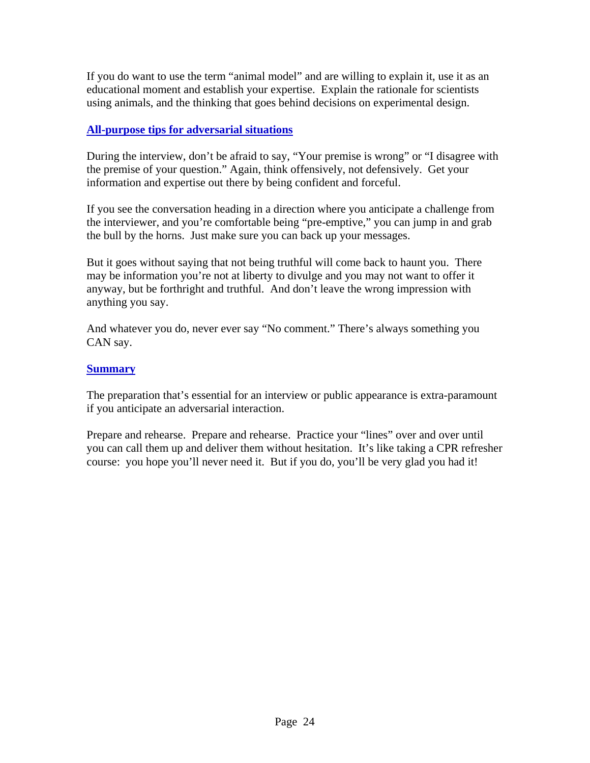If you do want to use the term "animal model" and are willing to explain it, use it as an educational moment and establish your expertise. Explain the rationale for scientists using animals, and the thinking that goes behind decisions on experimental design.

### **All-purpose tips for adversarial situations**

During the interview, don't be afraid to say, "Your premise is wrong" or "I disagree with the premise of your question." Again, think offensively, not defensively. Get your information and expertise out there by being confident and forceful.

If you see the conversation heading in a direction where you anticipate a challenge from the interviewer, and you're comfortable being "pre-emptive," you can jump in and grab the bull by the horns. Just make sure you can back up your messages.

But it goes without saying that not being truthful will come back to haunt you. There may be information you're not at liberty to divulge and you may not want to offer it anyway, but be forthright and truthful. And don't leave the wrong impression with anything you say.

And whatever you do, never ever say "No comment." There's always something you CAN say.

#### **Summary**

The preparation that's essential for an interview or public appearance is extra-paramount if you anticipate an adversarial interaction.

Prepare and rehearse. Prepare and rehearse. Practice your "lines" over and over until you can call them up and deliver them without hesitation. It's like taking a CPR refresher course: you hope you'll never need it. But if you do, you'll be very glad you had it!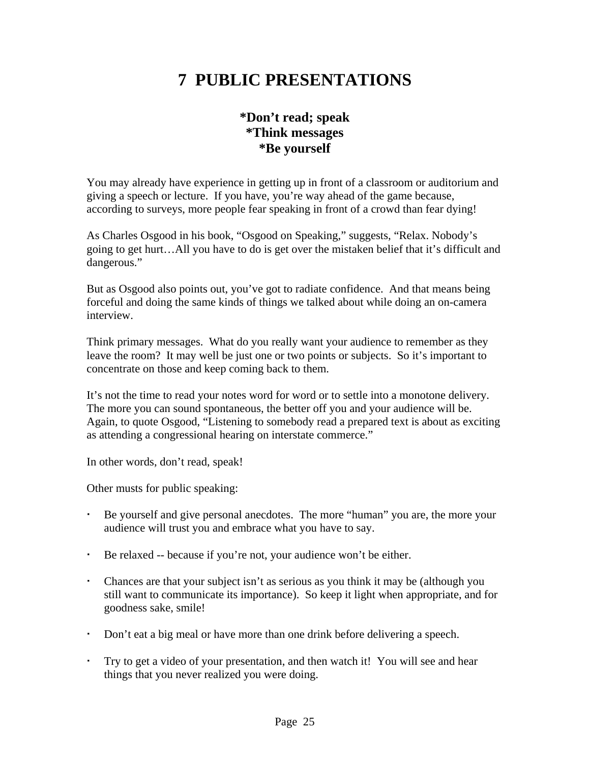# **7 PUBLIC PRESENTATIONS**

## **\*Don't read; speak \*Think messages \*Be yourself**

You may already have experience in getting up in front of a classroom or auditorium and giving a speech or lecture. If you have, you're way ahead of the game because, according to surveys, more people fear speaking in front of a crowd than fear dying!

As Charles Osgood in his book, "Osgood on Speaking," suggests, "Relax. Nobody's going to get hurt…All you have to do is get over the mistaken belief that it's difficult and dangerous."

But as Osgood also points out, you've got to radiate confidence. And that means being forceful and doing the same kinds of things we talked about while doing an on-camera interview.

Think primary messages. What do you really want your audience to remember as they leave the room? It may well be just one or two points or subjects. So it's important to concentrate on those and keep coming back to them.

It's not the time to read your notes word for word or to settle into a monotone delivery. The more you can sound spontaneous, the better off you and your audience will be. Again, to quote Osgood, "Listening to somebody read a prepared text is about as exciting as attending a congressional hearing on interstate commerce."

In other words, don't read, speak!

Other musts for public speaking:

- Be yourself and give personal anecdotes. The more "human" you are, the more your audience will trust you and embrace what you have to say.
- Be relaxed -- because if you're not, your audience won't be either.
- Chances are that your subject isn't as serious as you think it may be (although you still want to communicate its importance). So keep it light when appropriate, and for goodness sake, smile!
- Don't eat a big meal or have more than one drink before delivering a speech.
- Try to get a video of your presentation, and then watch it! You will see and hear things that you never realized you were doing.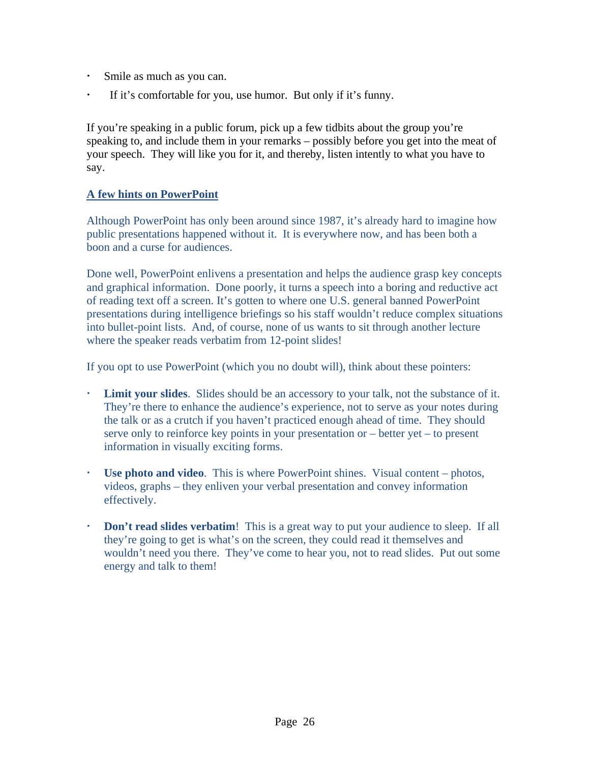- Smile as much as you can.
- If it's comfortable for you, use humor. But only if it's funny.

If you're speaking in a public forum, pick up a few tidbits about the group you're speaking to, and include them in your remarks – possibly before you get into the meat of your speech. They will like you for it, and thereby, listen intently to what you have to say.

### **A few hints on PowerPoint**

Although PowerPoint has only been around since 1987, it's already hard to imagine how public presentations happened without it. It is everywhere now, and has been both a boon and a curse for audiences.

Done well, PowerPoint enlivens a presentation and helps the audience grasp key concepts and graphical information. Done poorly, it turns a speech into a boring and reductive act of reading text off a screen. It's gotten to where one U.S. general banned PowerPoint presentations during intelligence briefings so his staff wouldn't reduce complex situations into bullet-point lists. And, of course, none of us wants to sit through another lecture where the speaker reads verbatim from 12-point slides!

If you opt to use PowerPoint (which you no doubt will), think about these pointers:

- **Limit your slides**. Slides should be an accessory to your talk, not the substance of it. They're there to enhance the audience's experience, not to serve as your notes during the talk or as a crutch if you haven't practiced enough ahead of time. They should serve only to reinforce key points in your presentation or – better yet – to present information in visually exciting forms.
- **Use photo and video**. This is where PowerPoint shines. Visual content photos, videos, graphs – they enliven your verbal presentation and convey information effectively.
- **Don't read slides verbatim!** This is a great way to put your audience to sleep. If all they're going to get is what's on the screen, they could read it themselves and wouldn't need you there. They've come to hear you, not to read slides. Put out some energy and talk to them!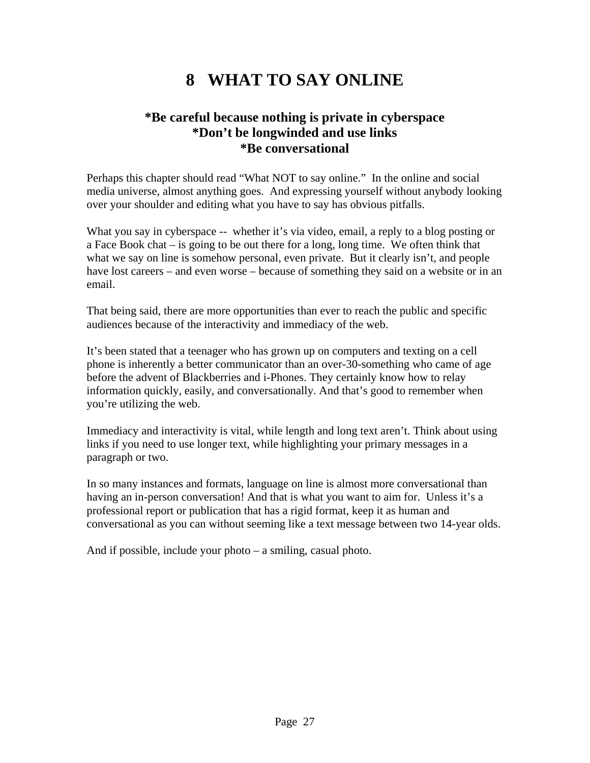# **8 WHAT TO SAY ONLINE**

### **\*Be careful because nothing is private in cyberspace \*Don't be longwinded and use links \*Be conversational**

Perhaps this chapter should read "What NOT to say online." In the online and social media universe, almost anything goes. And expressing yourself without anybody looking over your shoulder and editing what you have to say has obvious pitfalls.

What you say in cyberspace -- whether it's via video, email, a reply to a blog posting or a Face Book chat – is going to be out there for a long, long time. We often think that what we say on line is somehow personal, even private. But it clearly isn't, and people have lost careers – and even worse – because of something they said on a website or in an email.

That being said, there are more opportunities than ever to reach the public and specific audiences because of the interactivity and immediacy of the web.

It's been stated that a teenager who has grown up on computers and texting on a cell phone is inherently a better communicator than an over-30-something who came of age before the advent of Blackberries and i-Phones. They certainly know how to relay information quickly, easily, and conversationally. And that's good to remember when you're utilizing the web.

Immediacy and interactivity is vital, while length and long text aren't. Think about using links if you need to use longer text, while highlighting your primary messages in a paragraph or two.

In so many instances and formats, language on line is almost more conversational than having an in-person conversation! And that is what you want to aim for. Unless it's a professional report or publication that has a rigid format, keep it as human and conversational as you can without seeming like a text message between two 14-year olds.

And if possible, include your photo – a smiling, casual photo.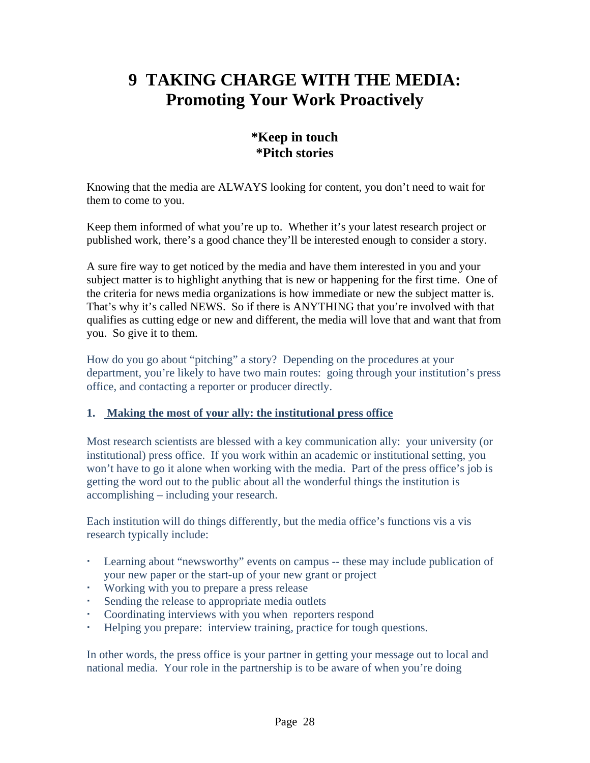# **9 TAKING CHARGE WITH THE MEDIA: Promoting Your Work Proactively**

## **\*Keep in touch \*Pitch stories**

Knowing that the media are ALWAYS looking for content, you don't need to wait for them to come to you.

Keep them informed of what you're up to. Whether it's your latest research project or published work, there's a good chance they'll be interested enough to consider a story.

A sure fire way to get noticed by the media and have them interested in you and your subject matter is to highlight anything that is new or happening for the first time. One of the criteria for news media organizations is how immediate or new the subject matter is. That's why it's called NEWS. So if there is ANYTHING that you're involved with that qualifies as cutting edge or new and different, the media will love that and want that from you. So give it to them.

How do you go about "pitching" a story? Depending on the procedures at your department, you're likely to have two main routes: going through your institution's press office, and contacting a reporter or producer directly.

#### **1. Making the most of your ally: the institutional press office**

Most research scientists are blessed with a key communication ally: your university (or institutional) press office. If you work within an academic or institutional setting, you won't have to go it alone when working with the media. Part of the press office's job is getting the word out to the public about all the wonderful things the institution is accomplishing – including your research.

Each institution will do things differently, but the media office's functions vis a vis research typically include:

- Learning about "newsworthy" events on campus -- these may include publication of your new paper or the start-up of your new grant or project
- Working with you to prepare a press release
- Sending the release to appropriate media outlets
- Coordinating interviews with you when reporters respond
- Helping you prepare: interview training, practice for tough questions.

In other words, the press office is your partner in getting your message out to local and national media. Your role in the partnership is to be aware of when you're doing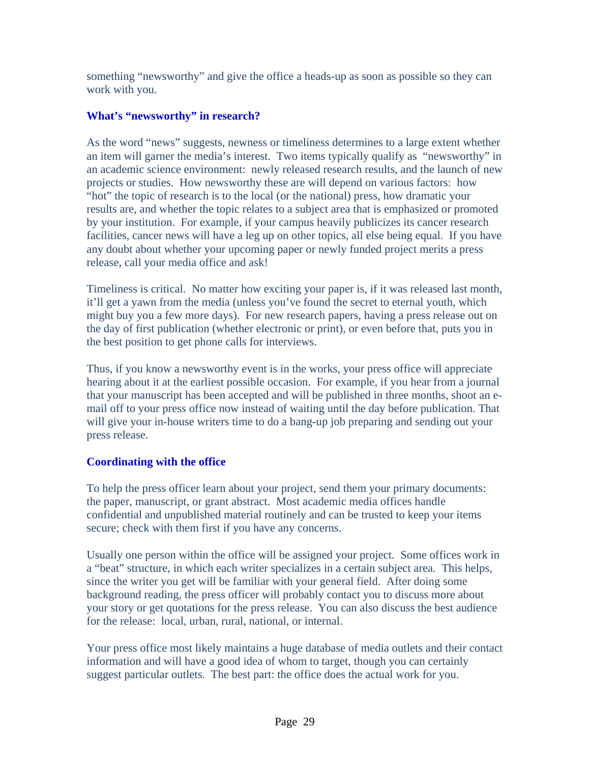something "newsworthy" and give the office a heads-up as soon as possible so they can work with you.

#### **What's "newsworthy" in research?**

As the word "news" suggests, newness or timeliness determines to a large extent whether an item will garner the media's interest. Two items typically qualify as "newsworthy" in an academic science environment: newly released research results, and the launch of new projects or studies. How newsworthy these are will depend on various factors: how "hot" the topic of research is to the local (or the national) press, how dramatic your results are, and whether the topic relates to a subject area that is emphasized or promoted by your institution. For example, if your campus heavily publicizes its cancer research facilities, cancer news will have a leg up on other topics, all else being equal. If you have any doubt about whether your upcoming paper or newly funded project merits a press release, call your media office and ask!

Timeliness is critical. No matter how exciting your paper is, if it was released last month, it'll get a yawn from the media (unless you've found the secret to eternal youth, which might buy you a few more days). For new research papers, having a press release out on the day of first publication (whether electronic or print), or even before that, puts you in the best position to get phone calls for interviews.

Thus, if you know a newsworthy event is in the works, your press office will appreciate hearing about it at the earliest possible occasion. For example, if you hear from a journal that your manuscript has been accepted and will be published in three months, shoot an email off to your press office now instead of waiting until the day before publication. That will give your in-house writers time to do a bang-up job preparing and sending out your press release.

### **Coordinating with the office**

To help the press officer learn about your project, send them your primary documents: the paper, manuscript, or grant abstract. Most academic media offices handle confidential and unpublished material routinely and can be trusted to keep your items secure; check with them first if you have any concerns.

Usually one person within the office will be assigned your project. Some offices work in a "beat" structure, in which each writer specializes in a certain subject area. This helps, since the writer you get will be familiar with your general field. After doing some background reading, the press officer will probably contact you to discuss more about your story or get quotations for the press release. You can also discuss the best audience for the release: local, urban, rural, national, or internal.

Your press office most likely maintains a huge database of media outlets and their contact information and will have a good idea of whom to target, though you can certainly suggest particular outlets. The best part: the office does the actual work for you.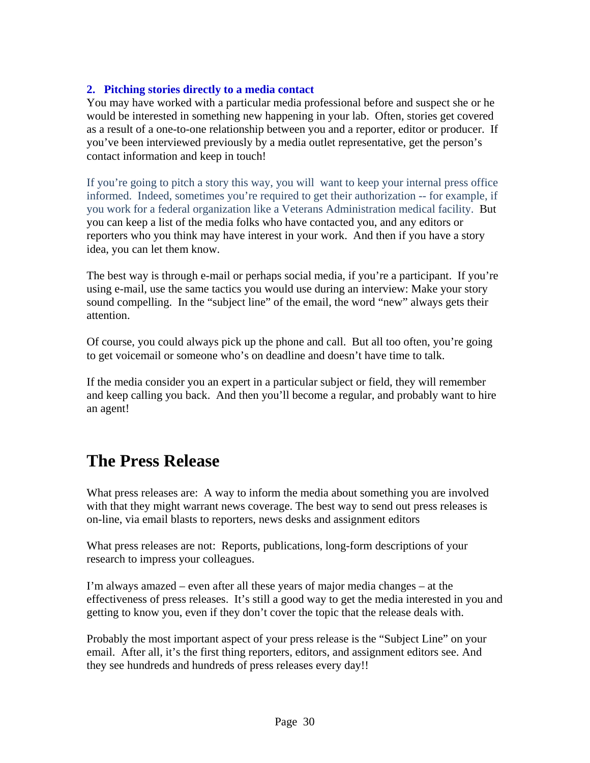### **2. Pitching stories directly to a media contact**

You may have worked with a particular media professional before and suspect she or he would be interested in something new happening in your lab. Often, stories get covered as a result of a one-to-one relationship between you and a reporter, editor or producer. If you've been interviewed previously by a media outlet representative, get the person's contact information and keep in touch!

If you're going to pitch a story this way, you will want to keep your internal press office informed. Indeed, sometimes you're required to get their authorization -- for example, if you work for a federal organization like a Veterans Administration medical facility. But you can keep a list of the media folks who have contacted you, and any editors or reporters who you think may have interest in your work. And then if you have a story idea, you can let them know.

The best way is through e-mail or perhaps social media, if you're a participant. If you're using e-mail, use the same tactics you would use during an interview: Make your story sound compelling. In the "subject line" of the email, the word "new" always gets their attention.

Of course, you could always pick up the phone and call. But all too often, you're going to get voicemail or someone who's on deadline and doesn't have time to talk.

If the media consider you an expert in a particular subject or field, they will remember and keep calling you back. And then you'll become a regular, and probably want to hire an agent!

## **The Press Release**

What press releases are: A way to inform the media about something you are involved with that they might warrant news coverage. The best way to send out press releases is on-line, via email blasts to reporters, news desks and assignment editors

What press releases are not: Reports, publications, long-form descriptions of your research to impress your colleagues.

I'm always amazed – even after all these years of major media changes – at the effectiveness of press releases. It's still a good way to get the media interested in you and getting to know you, even if they don't cover the topic that the release deals with.

Probably the most important aspect of your press release is the "Subject Line" on your email. After all, it's the first thing reporters, editors, and assignment editors see. And they see hundreds and hundreds of press releases every day!!